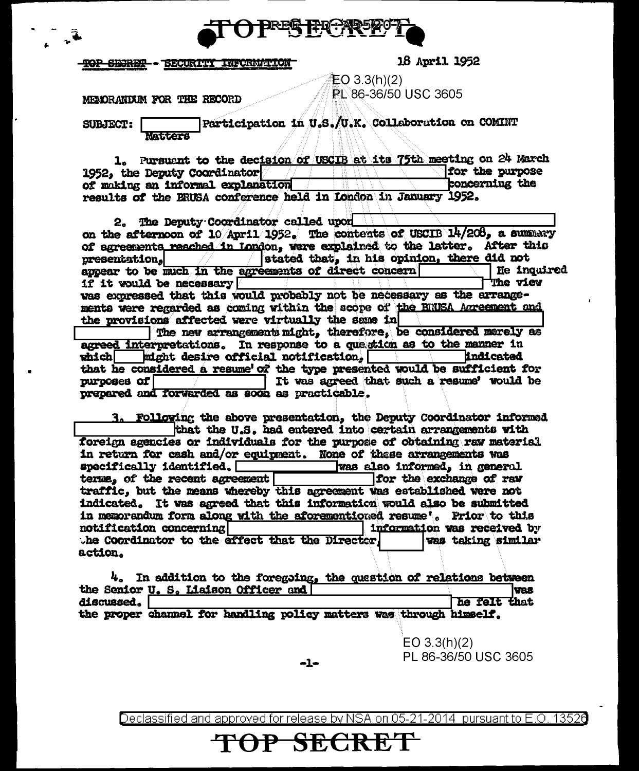

# <del>ROP SEJRET -</del> SECURITY INFORMATION

**18 April 1952** 

 $EO(3.3(h)(2))$ PL 86-36/50 USC 3605

# MEMORANIXIM FOR THE RECORD

**SUBJECT:** 

Participation in U.S./U.K. Collaboration on COMINT

1. Pursuant to the decision of USCIB at its 75th meeting on 24 March for the purpose 1952, the Deputy Coordinator concerning the of making an informal explanation results of the BRUSA conference held in London in January 1952.

2. The Deputy Coordinator called upon on the afternoon of 10 April 1952. The contents of USCIB 14/208, a summary of agreements reached in London, were explained to the latter. After this presentation. stated that, in his opinion, there did not He inouired appear to be much in the agreements of direct concern if it would be necessary The view was expressed that this would probably not be necessary as the arrangements were regarded as coming within the scope of the BRUSA Acreement and the provisions affected were virtually the same in

The new arrangements might, therefore, be considered merely as agreed interpretations. In response to a quastion as to the manner in might desire official notification. **lindicated** which that he considered a resume of the type presented would be sufficient for It was agreed that such a resume' would be purposes of prepared and forwarded as soon as practicable.

3. Following the above presentation, the Deputy Coordinator informed that the U.S. had entered into certain arrangements with foreign agencies or individuals for the purpose of obtaining raw material in return for cash and/or equipment. None of these arrangements was  ${\tt specified, [\![}$ was also informed, in general terms, of the recent agreement for the exchange of raw traffic, but the means whereby this agreement was established were not indicated. It was agreed that this information would also be submitted in memorandum form along with the aforementioned resume'. Prior to this information was received by notification concerning the Coordinator to the effect that the Director, was taking similar action.

|            | $4.5$ In addition to the foregoing, the question of relations between |              |  |
|------------|-----------------------------------------------------------------------|--------------|--|
|            | the Senior U. S. Liaison Officer and [                                | lvas.        |  |
| discussed. |                                                                       | he felt that |  |
|            | the proper channel for bandling policy matters was through himself.   |              |  |

 $-1-$ 

 $EO$  3.3(h)(2) PL 86-36/50 USC 3605

Declassified and approved for release by NSA on 05-21-2014 pursuant to E.O. 13526

P SECRET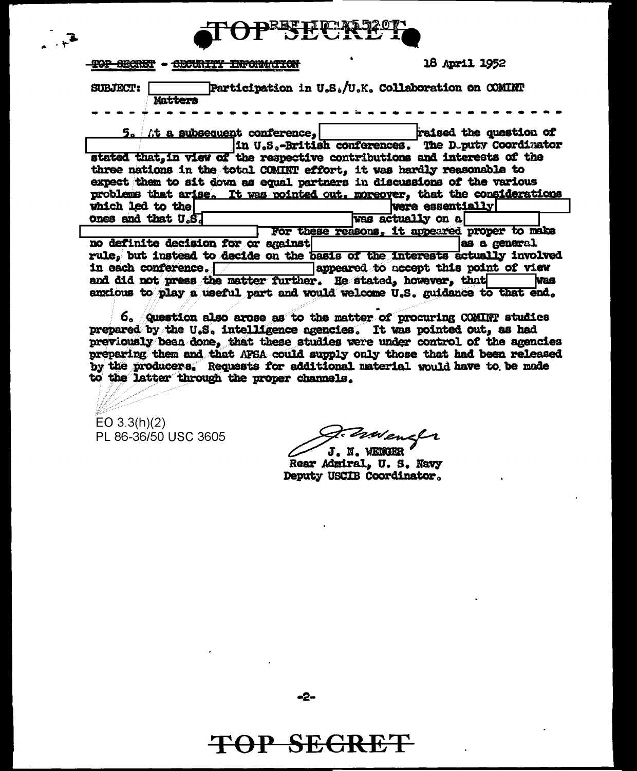

| <b>TOP SECRET</b>                                                                                                                                                                                                                                                                                                                                                                                                                                                                                                                     | 18 April 1952                                                               |  |  |  |
|---------------------------------------------------------------------------------------------------------------------------------------------------------------------------------------------------------------------------------------------------------------------------------------------------------------------------------------------------------------------------------------------------------------------------------------------------------------------------------------------------------------------------------------|-----------------------------------------------------------------------------|--|--|--|
| Participation in $\mathtt{U}_o\mathtt{S}_o/\mathtt{U}_o\mathtt{K}_o$ Collaboration on COMINT<br><b>SUBJECT:</b><br><b>Matters</b>                                                                                                                                                                                                                                                                                                                                                                                                     |                                                                             |  |  |  |
| $5.$ At a subsequent conference, $\vert$ and $\vert$ raised the question of<br>In U.S.-British conferences. The D.puty Coordinator<br>stated that, in view of the respective contributions and interests of the<br>three nations in the total COMINT effort, it was hardly reasonable to<br>expect them to sit down as equal partners in discussions of the various<br>problems that arise. It was pointed out, moreover, that the considerations<br>which led to the<br>were essentially!<br>ones and that U.S.<br>was actually on a |                                                                             |  |  |  |
|                                                                                                                                                                                                                                                                                                                                                                                                                                                                                                                                       | For these reasons, it appeared proper to make                               |  |  |  |
| no definite decision for or against                                                                                                                                                                                                                                                                                                                                                                                                                                                                                                   | as a general                                                                |  |  |  |
|                                                                                                                                                                                                                                                                                                                                                                                                                                                                                                                                       | rule, but instead to decide on the basis of the interests actually involved |  |  |  |
| in each conference. <b>The subsequent</b> appeared to accept this point of view                                                                                                                                                                                                                                                                                                                                                                                                                                                       |                                                                             |  |  |  |
| and did not press the matter further. He stated, however, that<br><b>Nas</b>                                                                                                                                                                                                                                                                                                                                                                                                                                                          |                                                                             |  |  |  |
|                                                                                                                                                                                                                                                                                                                                                                                                                                                                                                                                       | anxious to play a useful part and would welcome U.S. guidance to that end.  |  |  |  |

6. Question also arose as to the matter of procuring COMINT studies prepared by the U.S. intelligence agencies. It was pointed out, as had previously been done, that these studies were under control of the agencies preparing them and that AFSA could supply only those that had been released by the producers. Requests for additional material would have to be mode to the latter through the proper channels.

 $EO$  3.3(h)(2) PL 86-36/50 USC 3605

Zavenstr

J. N. WENGER Rear Admiral, U. S. Navy Deputy USCIB Coordinator.

 $-2-$ 

**TOP SECRET**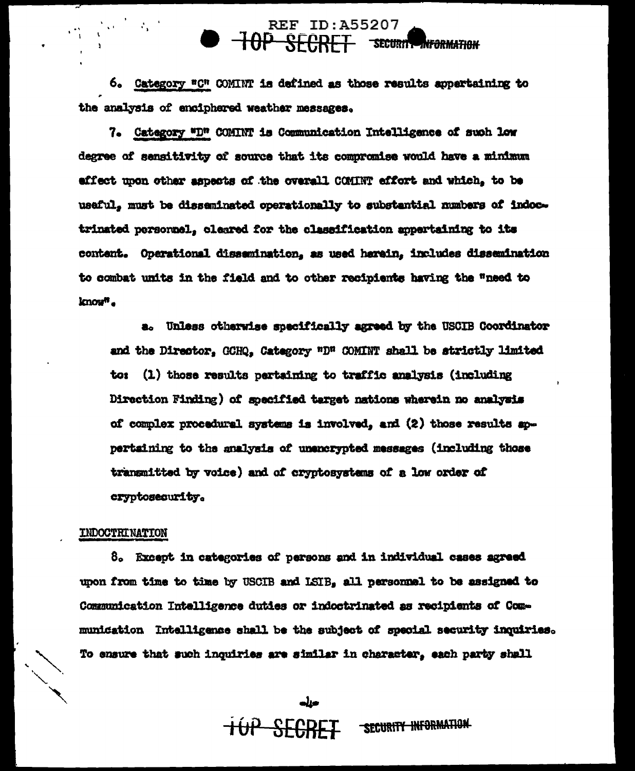## **REF ID: A55207**  $-10P$ **RECRET SECURITY INFORMATION**

6. Category "C" COMINT is defined as those results appertaining to the analysis of enciphered weather messages.

7. Category "D" COMINT is Communication Intelligence of such low degree of sensitivity of source that its compromise would have a minimum effect upon other aspects of the overall COMINT effort and which, to be usaful, must be disseminated operationally to substantial numbers of indoctrinated personnel, cleared for the classification appertaining to its content. Operational dissemination, as used herein, includes dissemination to combat units in the field and to other recipients having the "need to know<sup>n</sup>.

a. Unless otherwise specifically agreed by the USCIB Coordinator and the Director. GCHQ. Category "D" COMINT shall be strictly limited to: (1) those results pertaining to traffic analysis (including Direction Finding) of specified target nations wherein no analysis of complex procedural systems is involved, and (2) those results appertaining to the analysis of unencrypted messages (including those transmitted by voice) and of cryptosystems of a low order of cryptosecurity.

#### INDOCTRINATION

8. Except in categories of persons and in individual cases agreed upon from time to time by USCIB and LSIB, all personnel to be assigned to Communication Intelligence duties or indoctrinated as recipients of Communication Intelligence shall be the subject of special security inquiries. To ensure that such inquiries are similar in character, each party shall

> SECURITY INFORMATION **TOP SECRET**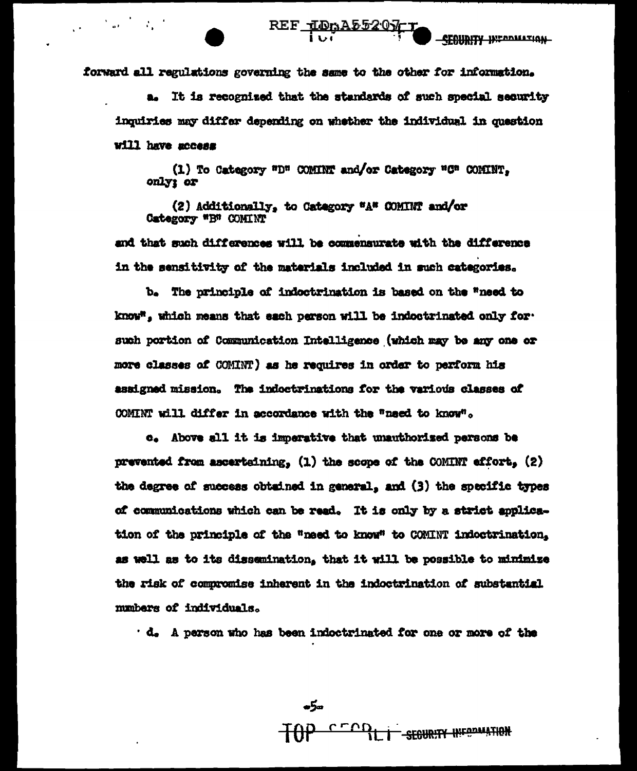forward all regulations governing the same to the other for information.

a. It is recognized that the standards of such special security inquiries may differ depending on whether the individual in question will have access

REF IDRA55207-T

(1) To Category "D" COMINT and/or Category "C" COMINT. only; or

(2) Additionally, to Category "A" COMINT and/or Category "B" COMINT

and that such differences will be commensurate with the difference in the sensitivity of the materials included in such categories.

b. The principle of indoctrination is based on the "need to know", which means that each parson will be indoctrinated only for. such portion of Communication Intelligence (which may be any one or more classes of COMINT) as he requires in order to perform his assigned mission. The indoctrinations for the various classes of COMINT will differ in accordance with the "naed to know".

c. Above all it is imperative that unauthorized persons be prevented from ascertaining. (1) the scope of the COMINT effort, (2) the degree of success obtained in general, and (3) the specific types of communications which can be read. It is only by a strict application of the principle of the "need to know" to COMINT indoctrination. as well as to its dissemination, that it will be possible to minimize the risk of compromise inherent in the indoctrination of substantial mumbers of individuals.

. d. A person who has been indoctrinated for one or more of the

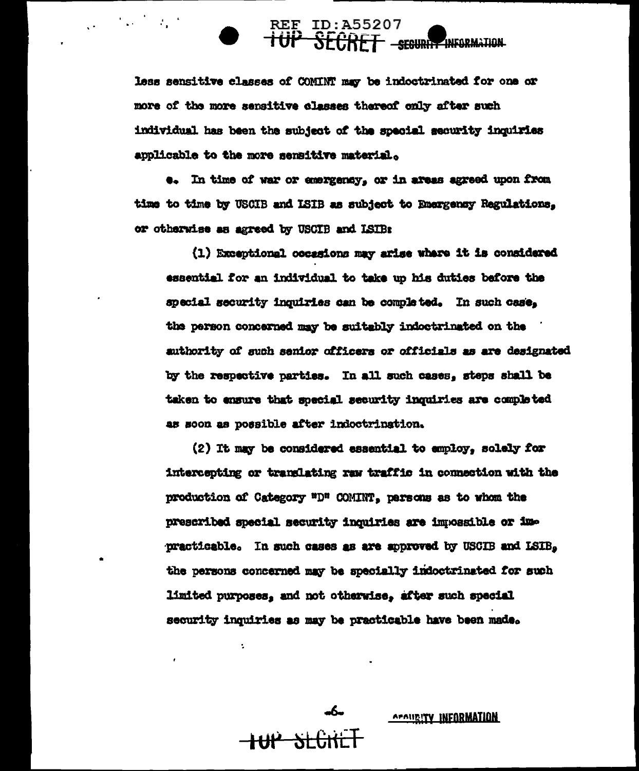# REE ID: A55207<br>TUP SECRET - SEGURIT INFORMATION

less sensitive classes of COMINT may be indoctrinated for one or more of the more sensitive classes thereof only after such individual has been the subject of the special security inquiries applicable to the more sensitive material.

 $\mathcal{L}_{\mathbf{a}}(\mathcal{F},\mathcal{L}_{\mathbf{a}}(\mathcal{F}))$ 

.. In time of war or emergency, or in areas agreed upon from time to time by USCIB and ISIB as subject to Emergency Regulations. or otherwise as agreed by USCIB and ISIB:

(1) Exceptional occasions may arise where it is considered essential for an individual to take up his duties before the special security inquiries can be completed. In such case, the person concerned may be suitably indoctrinated on the authority of such senior officers or officials as are designated by the respective parties. In all such cases, steps shall be taken to ensure that special security inquiries are completed as soon as possible after indoctrination.

(2) It may be considered essential to employ. solely for intercepting or translating raw traffic in connection with the production of Category "D" COMINT, parsons as to whom the prescribed special security inquiries are impossible or impracticable. In such cases as are approved by USCIB and LSIB, the persons concerned may be specially indoctrinated for such limited purposes, and not otherwise, after such special security inquiries as may be practicable have been made.

÷.

<del>-HIP SLÜNE</del>

APAURITY INFORMATION